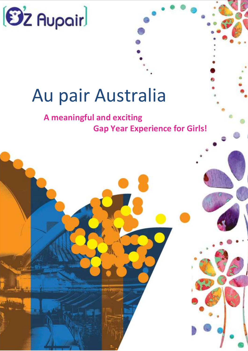

# Au pair Australia

# **A meaningful and exciting Gap Year Experience for Girls!**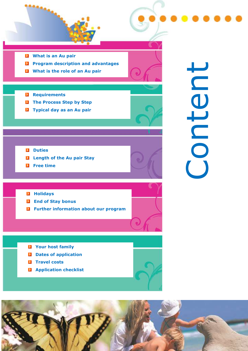

- **Program description and advantages**
- **M** What is the role of an Au pair
- **Requirements**
- **The Process Step by Step**
- $\blacksquare$  Typical day as an Au pair

Content

- **D** Duties
- **Length of the Au pair Stay**
- **E** Free time

**Holidays** 

- **End of Stay bonus**
- **Further information about our program**
- **Z** Your host family
- **D** Dates of application
- **Travel costs**
- **Application checklist**



Œ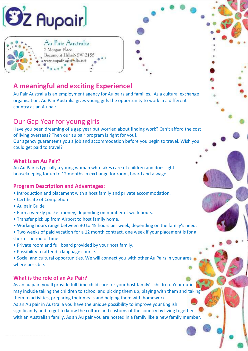

# **A meaningful and exciting Experience!**

Au Pair Australia

Beaumont Hills NSW 2155 www.aupair-australia.net

2 Morgan Place

Au Pair Australia is an employment agency for Au pairs and families. As a cultural exchange organisation, Au Pair Australia gives young girls the opportunity to work in a different country as an Au pair.

## Our Gap Year for young girls

Have you been dreaming of a gap year but worried about finding work? Can't afford the cost of living overseas? Then our au pair program is right for you!.

Our agency guarantee's you a job and accommodation before you begin to travel. Wish you could get paid to travel?

#### **What is an Au Pair?**

An Au Pair is typically a young woman who takes care of children and does light housekeeping for up to 12 months in exchange for room, board and a wage.

#### **Program Description and Advantages:**

- Introduction and placement with a host family and private accommodation.
- Certificate of Completion
- Au pair Guide
- Earn a weekly pocket money, depending on number of work hours.
- Transfer pick up from Airport to host family home.
- Working hours range between 30 to 45 hours per week, depending on the family's need.
- Two weeks of paid vacation for a 12 month contract, one week if your placement is for a shorter period of time.
- Private room and full board provided by your host family.
- Possibility to attend a language course.
- Social and cultural opportunities. We will connect you with other Au Pairs in your area where possible.

#### **What is the role of an Au Pair?**

As an au pair, you'll provide full time child care for your host family's children. Your duties may include taking the children to school and picking them up, playing with them and taking them to activities, preparing their meals and helping them with homework. As an Au pair in Australia you have the unique possibility to improve your English significantly and to get to know the culture and customs of the country by living together with an Australian family. As an Au pair you are hosted in a family like a new family member.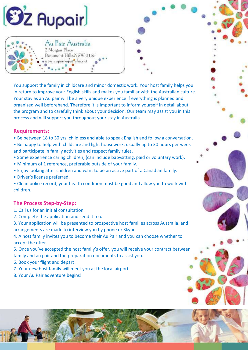

Au Pair Australia

Beaumont Hills NSW 2155 www.aupair-australia.net

2 Morgan Place

You support the family in childcare and minor domestic work. Your host family helps you in return to improve your English skills and makes you familiar with the Australian culture. Your stay as an Au pair will be a very unique experience if everything is planned and organized well beforehand. Therefore it is important to inform yourself in detail about the program and to carefully think about your decision. Our team may assist you in this process and will support you throughout your stay in Australia.

#### **Requirements:**

- Be between 18 to 30 yrs, childless and able to speak English and follow a conversation.
- Be happy to help with childcare and light housework, usually up to 30 hours per week and participate in family activities and respect family rules.
- Some experience caring children, (can include babysitting, paid or voluntary work).
- Minimum of 1 reference, preferable outside of your family.
- Enjoy looking after children and want to be an active part of a Canadian family.
- Driver's license preferred.

• Clean police record, your health condition must be good and allow you to work with children.

#### **The Process Step-by-Step:**

- 1. Call us for an initial consultation.
- 2. Complete the application and send it to us.
- 3. Your application will be presented to prospective host families across Australia, and arrangements are made to interview you by phone or Skype.

4. A host family invites you to become their Au Pair and you can choose whether to accept the offer.

5. Once you've accepted the host family's offer, you will receive your contract between family and au pair and the preparation documents to assist you.

• Local Coordinators based in all provinces who are just a phone call away should you

 $\mathbb{F}_q$  is support, from the time of  $\mathbb{F}_q$  in  $\mathbb{F}_q$  and matching and matching application and matching and matching and matching and matching and matching and matching and matching and matching and matching and

6. Book your flight and depart!

7. Your new host family will meet you at the local airport.

process, and the full period of the full period of your place of your place of your place of your place of your

 $\mathcal{F} = \mathcal{F} \times \mathcal{F}$  for  $\mathcal{F} = \mathcal{F} \times \mathcal{F}$  , where  $\mathcal{F} = \mathcal{F} \times \mathcal{F}$ 

8. Your Au Pair adventure begins!

need assistance.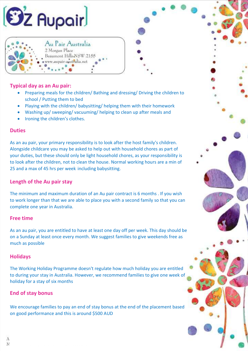



#### **Typical day as an Au pair:**

- Preparing meals for the children/ Bathing and dressing/ Driving the children to school / Putting them to bed
- Playing with the children/ babysitting/ helping them with their homework
- Washing up/ sweeping/ vacuuming/ helping to clean up after meals and
- Ironing the children's clothes.

#### **Duties**

As an au pair, your primary responsibility is to look after the host family's children. Alongside childcare you may be asked to help out with household chores as part of your duties, but these should only be light household chores, as your responsibility is to look after the children, not to clean the house. Normal working hours are a min of 25 and a max of 45 hrs per week including babysitting.

#### **Length of the Au pair stay**

The minimum and maximum duration of an Au pair contract is 6 months . If you wish to work longer than that we are able to place you with a second family so that you can complete one year in Australia.

#### **Free time**

As an au pair, you are entitled to have at least one day off per week. This day should be on a Sunday at least once every month. We suggest families to give weekends free as much as possible

#### **Holidays**

The Working Holiday Programme doesn't regulate how much holiday you are entitled to during your stay in Australia. However, we recommend families to give one week of holiday for a stay of six months

#### **End of stay bonus**

We encourage families to pay an end of stay bonus at the end of the placement based on good performance and this is around \$500 AUD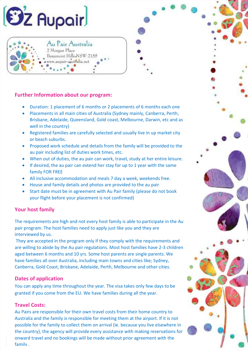



#### **Further Information about our program:**

- Duration: 1 placement of 6 months or 2 placements of 6 months each one
- Placements in all main cities of Australia (Sydney mainly, Canberra, Perth, Brisbane, Adelaide, Queensland, Gold coast, Melbourne, Darwin, etc and as well in the country)
- Registered families are carefully selected and usually live in up market city or beach suburbs.
- Proposed work schedule and details from the family will be provided to the au pair including list of duties work times, etc.
- When out of duties, the au pair can work, travel, study at her entire leisure.
- If desired, the au pair can extend her stay for up to 1 year with the same family FOR FREE
- All inclusive accommodation and meals 7 day a week, weekends free.
- House and family details and photos are provided to the au pair
- Start date must be in agreement with Au Pair family (please do not book your flight before your placement is not confirmed)

#### **Your host family**

The requirements are high and not every host family is able to participate in the Au pair program. The host families need to apply just like you and they are interviewed by us.

They are accepted in the program only if they comply with the requirements and are willing to abide by the Au pair regulations. Most host families have 2-3 children aged between 6 months and 10 yrs. Some host parents are single parents. We have families all over Australia, including main towns and cities like; Sydney, Canberra, Gold Coast, Brisbane, Adelaide, Perth, Melbourne and other cities.

#### **Dates of application**

You can apply any time throughout the year. The visa takes only few days to be granted if you come from the EU. We have families during all the year.

#### **Travel Costs:**

Au Pairs are responsible for their own travel costs from their home country to Australia and the family is responsible for meeting them at the airport. If it is not possible for the family to collect them on arrival (ie. because you live elsewhere in the country), the agency will provide every assistance with making reservations for onward travel and no bookings will be made without prior agreement with the family .